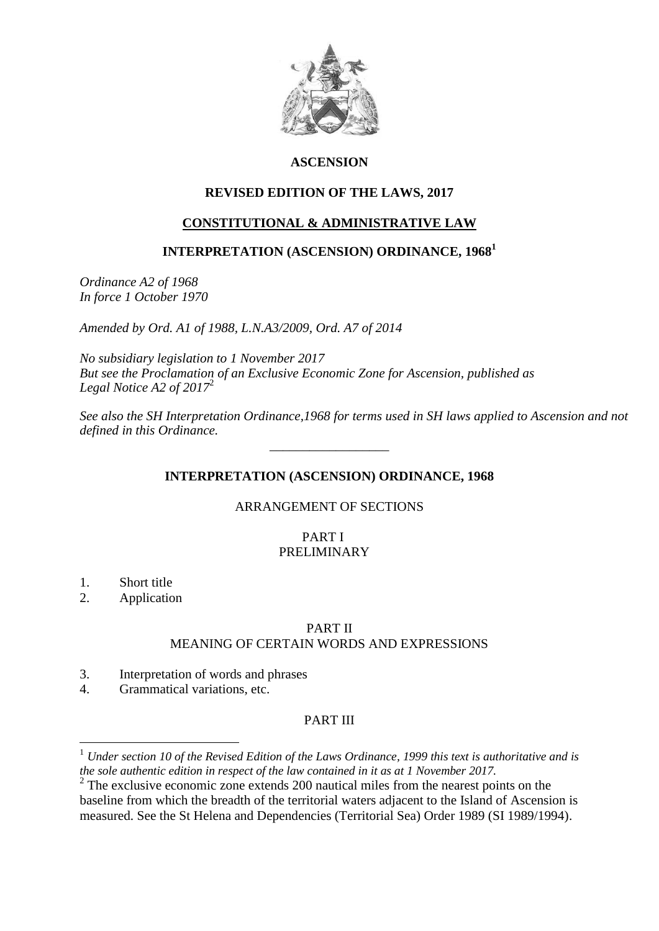

# **ASCENSION**

# **REVISED EDITION OF THE LAWS, 2017**

# **CONSTITUTIONAL & ADMINISTRATIVE LAW**

# **INTERPRETATION (ASCENSION) ORDINANCE, 1968<sup>1</sup>**

*Ordinance A2 of 1968 In force 1 October 1970*

*Amended by Ord. A1 of 1988, L.N.A3/2009, Ord. A7 of 2014*

*No subsidiary legislation to 1 November 2017 But see the Proclamation of an Exclusive Economic Zone for Ascension, published as Legal Notice A2 of 2017*<sup>2</sup>

*See also the SH Interpretation Ordinance,1968 for terms used in SH laws applied to Ascension and not defined in this Ordinance.*

# **INTERPRETATION (ASCENSION) ORDINANCE, 1968**

\_\_\_\_\_\_\_\_\_\_\_\_\_\_\_\_\_\_

#### ARRANGEMENT OF SECTIONS

#### PART I PRELIMINARY

1. Short title

1

2. Application

#### PART II

#### MEANING OF CERTAIN WORDS AND EXPRESSIONS

- 3. Interpretation of words and phrases
- 4. Grammatical variations, etc.

# PART III

<sup>1</sup> *Under section 10 of the Revised Edition of the Laws Ordinance, 1999 this text is authoritative and is the sole authentic edition in respect of the law contained in it as at 1 November 2017.*

 $2^2$  The exclusive economic zone extends 200 nautical miles from the nearest points on the baseline from which the breadth of the territorial waters adjacent to the Island of Ascension is measured. See the St Helena and Dependencies (Territorial Sea) Order 1989 (SI 1989/1994).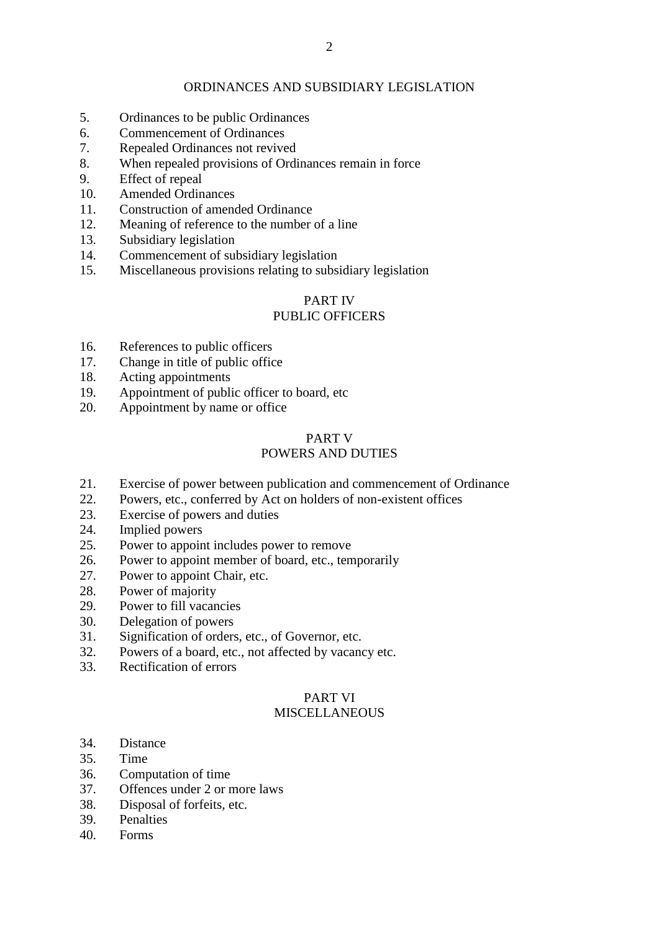#### ORDINANCES AND SUBSIDIARY LEGISLATION

- 5. Ordinances to be public Ordinances
- 6. Commencement of Ordinances
- 7. Repealed Ordinances not revived
- 8. When repealed provisions of Ordinances remain in force
- 9. Effect of repeal
- 10. Amended Ordinances
- 11. Construction of amended Ordinance
- 12. Meaning of reference to the number of a line
- 13. Subsidiary legislation
- 14. Commencement of subsidiary legislation
- 15. Miscellaneous provisions relating to subsidiary legislation

# PART IV

# PUBLIC OFFICERS

- 16. References to public officers
- 17. Change in title of public office
- 18. Acting appointments
- 19. Appointment of public officer to board, etc
- 20. Appointment by name or office

# PART V

# POWERS AND DUTIES

- 21. Exercise of power between publication and commencement of Ordinance
- 22. Powers, etc., conferred by Act on holders of non-existent offices
- 23. Exercise of powers and duties
- 24. Implied powers
- 25. Power to appoint includes power to remove
- 26. Power to appoint member of board, etc., temporarily
- 27. Power to appoint Chair, etc.
- 28. Power of majority
- 29. Power to fill vacancies
- 30. Delegation of powers
- 31. Signification of orders, etc., of Governor, etc.
- 32. Powers of a board, etc., not affected by vacancy etc.
- 33. Rectification of errors

# PART VI

# **MISCELLANEOUS**

- 34. Distance
- 35. Time
- 36. Computation of time
- 37. Offences under 2 or more laws
- 38. Disposal of forfeits, etc.
- 39. Penalties
- 40. Forms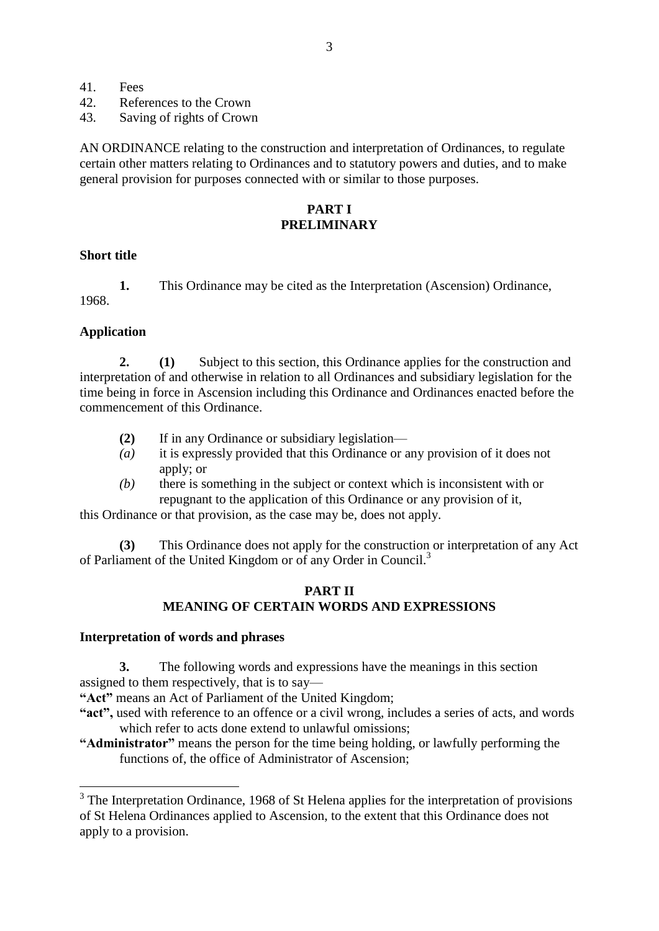- 41. Fees
- 42. References to the Crown
- 43. Saving of rights of Crown

AN ORDINANCE relating to the construction and interpretation of Ordinances, to regulate certain other matters relating to Ordinances and to statutory powers and duties, and to make general provision for purposes connected with or similar to those purposes.

#### **PART I PRELIMINARY**

#### **Short title**

**1.** This Ordinance may be cited as the Interpretation (Ascension) Ordinance, 1968.

#### **Application**

<u>.</u>

**2. (1)** Subject to this section, this Ordinance applies for the construction and interpretation of and otherwise in relation to all Ordinances and subsidiary legislation for the time being in force in Ascension including this Ordinance and Ordinances enacted before the commencement of this Ordinance.

- **(2)** If in any Ordinance or subsidiary legislation—
- *(a)* it is expressly provided that this Ordinance or any provision of it does not apply; or
- *(b)* there is something in the subject or context which is inconsistent with or repugnant to the application of this Ordinance or any provision of it,

this Ordinance or that provision, as the case may be, does not apply.

**(3)** This Ordinance does not apply for the construction or interpretation of any Act of Parliament of the United Kingdom or of any Order in Council.<sup>3</sup>

#### **PART II MEANING OF CERTAIN WORDS AND EXPRESSIONS**

#### **Interpretation of words and phrases**

**3.** The following words and expressions have the meanings in this section assigned to them respectively, that is to say—

**"Act"** means an Act of Parliament of the United Kingdom;

- **"act",** used with reference to an offence or a civil wrong, includes a series of acts, and words which refer to acts done extend to unlawful omissions;
- **"Administrator"** means the person for the time being holding, or lawfully performing the functions of, the office of Administrator of Ascension;

 $3$  The Interpretation Ordinance, 1968 of St Helena applies for the interpretation of provisions of St Helena Ordinances applied to Ascension, to the extent that this Ordinance does not apply to a provision.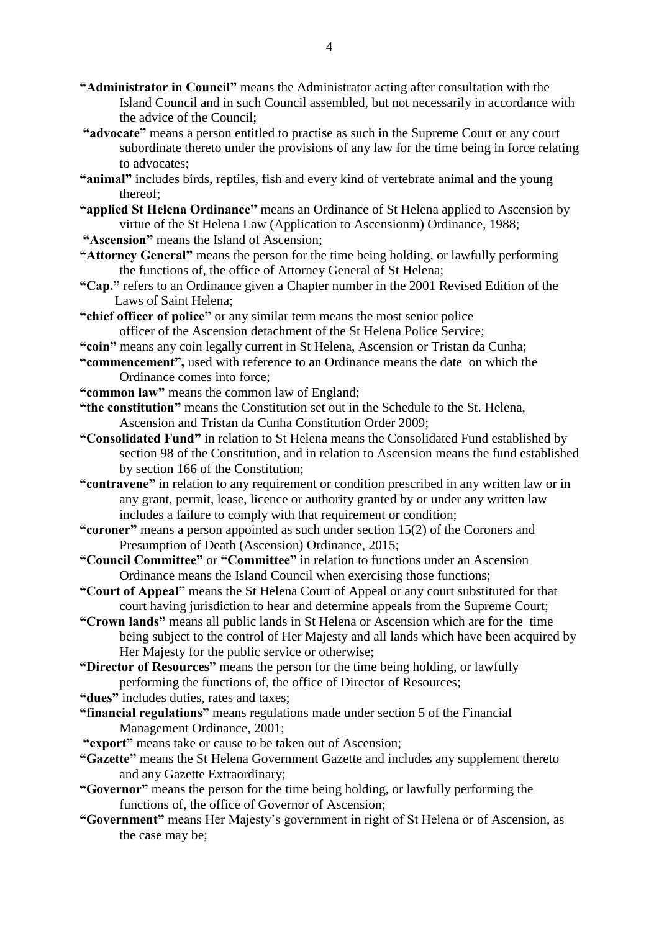- **"Administrator in Council"** means the Administrator acting after consultation with the Island Council and in such Council assembled, but not necessarily in accordance with the advice of the Council;
- **"advocate"** means a person entitled to practise as such in the Supreme Court or any court subordinate thereto under the provisions of any law for the time being in force relating to advocates;
- **"animal"** includes birds, reptiles, fish and every kind of vertebrate animal and the young thereof;
- **"applied St Helena Ordinance"** means an Ordinance of St Helena applied to Ascension by virtue of the St Helena Law (Application to Ascensionm) Ordinance, 1988;
- **"Ascension"** means the Island of Ascension;
- **"Attorney General"** means the person for the time being holding, or lawfully performing the functions of, the office of Attorney General of St Helena;
- **"Cap."** refers to an Ordinance given a Chapter number in the 2001 Revised Edition of the Laws of Saint Helena;
- **"chief officer of police"** or any similar term means the most senior police officer of the Ascension detachment of the St Helena Police Service;
- **"coin"** means any coin legally current in St Helena, Ascension or Tristan da Cunha;
- **"commencement",** used with reference to an Ordinance means the date on which the Ordinance comes into force;
- **"common law"** means the common law of England;
- **"the constitution"** means the Constitution set out in the Schedule to the St. Helena, Ascension and Tristan da Cunha Constitution Order 2009;
- **"Consolidated Fund"** in relation to St Helena means the Consolidated Fund established by section 98 of the Constitution, and in relation to Ascension means the fund established by section 166 of the Constitution;
- **"contravene"** in relation to any requirement or condition prescribed in any written law or in any grant, permit, lease, licence or authority granted by or under any written law includes a failure to comply with that requirement or condition;
- **"coroner"** means a person appointed as such under section 15(2) of the Coroners and Presumption of Death (Ascension) Ordinance, 2015;
- **"Council Committee"** or **"Committee"** in relation to functions under an Ascension Ordinance means the Island Council when exercising those functions;
- **"Court of Appeal"** means the St Helena Court of Appeal or any court substituted for that court having jurisdiction to hear and determine appeals from the Supreme Court;
- **"Crown lands"** means all public lands in St Helena or Ascension which are for the time being subject to the control of Her Majesty and all lands which have been acquired by Her Majesty for the public service or otherwise;
- **"Director of Resources"** means the person for the time being holding, or lawfully performing the functions of, the office of Director of Resources;
- **"dues"** includes duties, rates and taxes;
- **"financial regulations"** means regulations made under section 5 of the Financial Management Ordinance, 2001;
- **"export"** means take or cause to be taken out of Ascension;
- **"Gazette"** means the St Helena Government Gazette and includes any supplement thereto and any Gazette Extraordinary;
- **"Governor"** means the person for the time being holding, or lawfully performing the functions of, the office of Governor of Ascension;
- **"Government"** means Her Majesty's government in right of St Helena or of Ascension, as the case may be;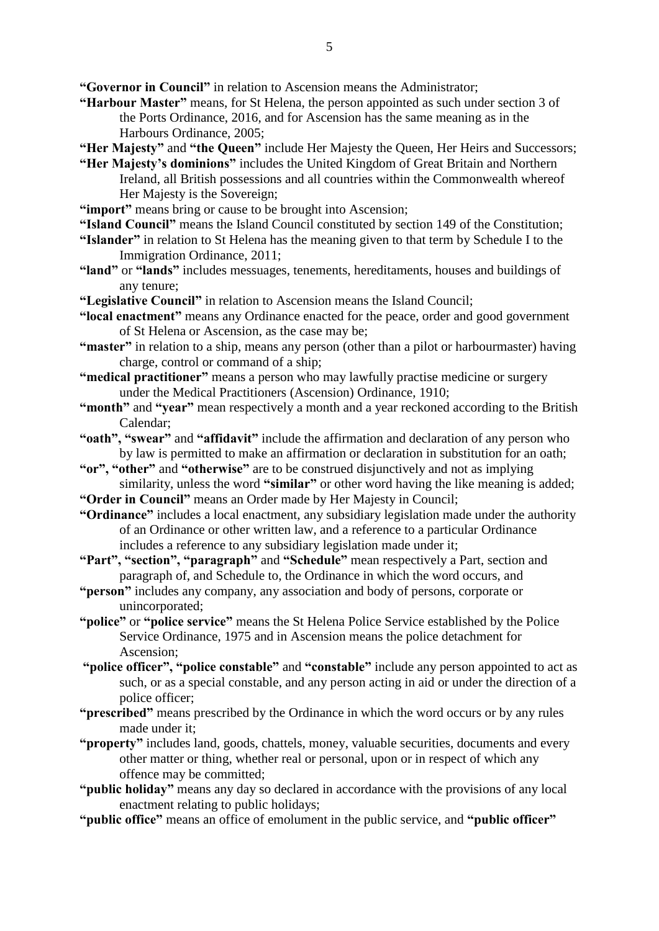**"Governor in Council"** in relation to Ascension means the Administrator;

- **"Harbour Master"** means, for St Helena, the person appointed as such under section 3 of the Ports Ordinance, 2016, and for Ascension has the same meaning as in the Harbours Ordinance, 2005;
- **"Her Majesty"** and **"the Queen"** include Her Majesty the Queen, Her Heirs and Successors;
- **"Her Majesty's dominions"** includes the United Kingdom of Great Britain and Northern Ireland, all British possessions and all countries within the Commonwealth whereof Her Majesty is the Sovereign:
- "import" means bring or cause to be brought into Ascension;
- **"Island Council"** means the Island Council constituted by section 149 of the Constitution;
- **"Islander"** in relation to St Helena has the meaning given to that term by Schedule I to the Immigration Ordinance, 2011;
- **"land"** or **"lands"** includes messuages, tenements, hereditaments, houses and buildings of any tenure;
- **"Legislative Council"** in relation to Ascension means the Island Council;
- **"local enactment"** means any Ordinance enacted for the peace, order and good government of St Helena or Ascension, as the case may be;
- **"master"** in relation to a ship, means any person (other than a pilot or harbourmaster) having charge, control or command of a ship;
- **"medical practitioner"** means a person who may lawfully practise medicine or surgery under the Medical Practitioners (Ascension) Ordinance, 1910;
- **"month"** and **"year"** mean respectively a month and a year reckoned according to the British Calendar;
- **"oath", "swear"** and **"affidavit"** include the affirmation and declaration of any person who by law is permitted to make an affirmation or declaration in substitution for an oath;
- **"or", "other"** and **"otherwise"** are to be construed disjunctively and not as implying similarity, unless the word "similar" or other word having the like meaning is added;
- **"Order in Council"** means an Order made by Her Majesty in Council;
- **"Ordinance"** includes a local enactment, any subsidiary legislation made under the authority of an Ordinance or other written law, and a reference to a particular Ordinance includes a reference to any subsidiary legislation made under it;
- **"Part", "section", "paragraph"** and **"Schedule"** mean respectively a Part, section and paragraph of, and Schedule to, the Ordinance in which the word occurs, and
- **"person"** includes any company, any association and body of persons, corporate or unincorporated;
- **"police"** or **"police service"** means the St Helena Police Service established by the Police Service Ordinance, 1975 and in Ascension means the police detachment for Ascension;
- **"police officer", "police constable"** and **"constable"** include any person appointed to act as such, or as a special constable, and any person acting in aid or under the direction of a police officer;
- **"prescribed"** means prescribed by the Ordinance in which the word occurs or by any rules made under it;
- **"property"** includes land, goods, chattels, money, valuable securities, documents and every other matter or thing, whether real or personal, upon or in respect of which any offence may be committed;
- **"public holiday"** means any day so declared in accordance with the provisions of any local enactment relating to public holidays;
- **"public office"** means an office of emolument in the public service, and **"public officer"**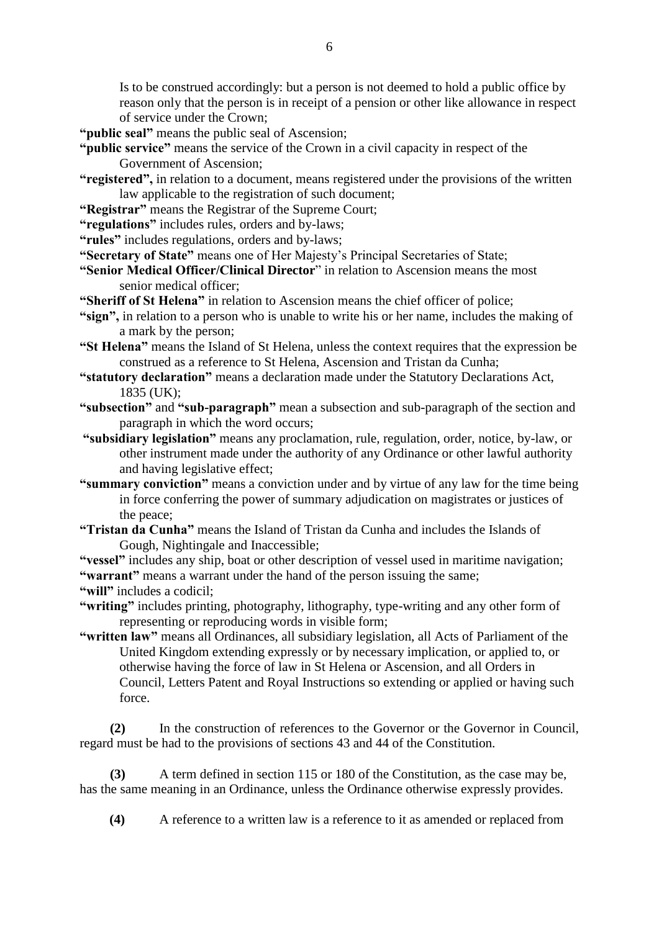Is to be construed accordingly: but a person is not deemed to hold a public office by reason only that the person is in receipt of a pension or other like allowance in respect of service under the Crown;

**"public seal"** means the public seal of Ascension;

- **"public service"** means the service of the Crown in a civil capacity in respect of the Government of Ascension;
- **"registered",** in relation to a document, means registered under the provisions of the written law applicable to the registration of such document;
- **"Registrar"** means the Registrar of the Supreme Court;
- **"regulations"** includes rules, orders and by-laws;
- **"rules"** includes regulations, orders and by-laws;
- **"Secretary of State"** means one of Her Majesty's Principal Secretaries of State;
- **"Senior Medical Officer/Clinical Director**" in relation to Ascension means the most senior medical officer;
- **"Sheriff of St Helena"** in relation to Ascension means the chief officer of police;
- **"sign",** in relation to a person who is unable to write his or her name, includes the making of a mark by the person;
- **"St Helena"** means the Island of St Helena, unless the context requires that the expression be construed as a reference to St Helena, Ascension and Tristan da Cunha;
- **"statutory declaration"** means a declaration made under the Statutory Declarations Act, 1835 (UK);
- **"subsection"** and **"sub-paragraph"** mean a subsection and sub-paragraph of the section and paragraph in which the word occurs;
- **"subsidiary legislation"** means any proclamation, rule, regulation, order, notice, by-law, or other instrument made under the authority of any Ordinance or other lawful authority and having legislative effect;
- **"summary conviction"** means a conviction under and by virtue of any law for the time being in force conferring the power of summary adjudication on magistrates or justices of the peace;
- **"Tristan da Cunha"** means the Island of Tristan da Cunha and includes the Islands of Gough, Nightingale and Inaccessible;

**"vessel"** includes any ship, boat or other description of vessel used in maritime navigation; **"warrant"** means a warrant under the hand of the person issuing the same;

**"will"** includes a codicil;

**"writing"** includes printing, photography, lithography, type-writing and any other form of representing or reproducing words in visible form;

**"written law"** means all Ordinances, all subsidiary legislation, all Acts of Parliament of the United Kingdom extending expressly or by necessary implication, or applied to, or otherwise having the force of law in St Helena or Ascension, and all Orders in Council, Letters Patent and Royal Instructions so extending or applied or having such force.

**(2)** In the construction of references to the Governor or the Governor in Council, regard must be had to the provisions of sections 43 and 44 of the Constitution.

**(3)** A term defined in section 115 or 180 of the Constitution, as the case may be, has the same meaning in an Ordinance, unless the Ordinance otherwise expressly provides.

 **(4)** A reference to a written law is a reference to it as amended or replaced from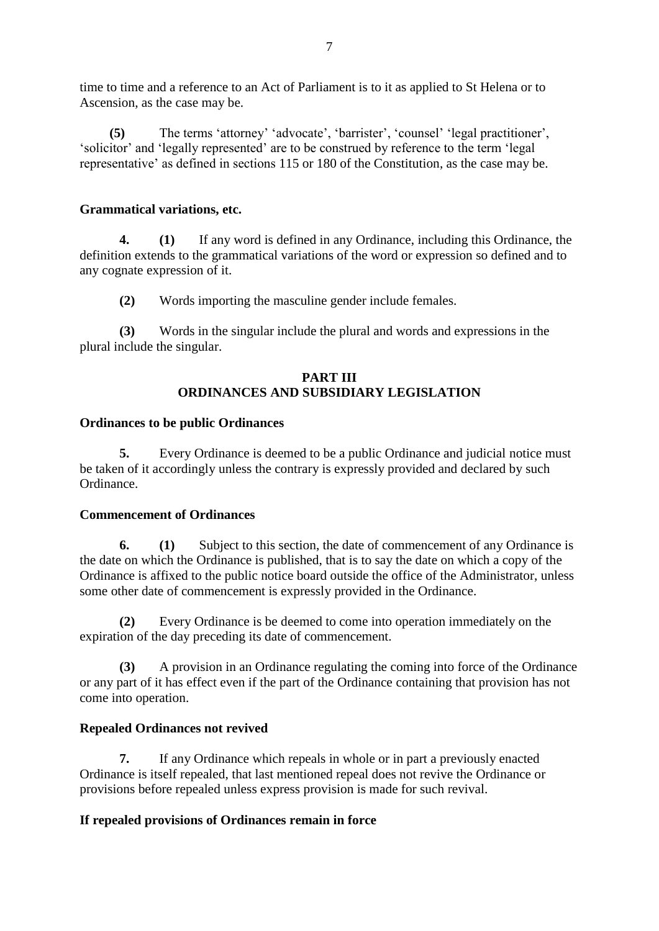time to time and a reference to an Act of Parliament is to it as applied to St Helena or to Ascension, as the case may be.

 **(5)** The terms 'attorney' 'advocate', 'barrister', 'counsel' 'legal practitioner', 'solicitor' and 'legally represented' are to be construed by reference to the term 'legal representative' as defined in sections 115 or 180 of the Constitution, as the case may be.

### **Grammatical variations, etc.**

**4. (1)** If any word is defined in any Ordinance, including this Ordinance, the definition extends to the grammatical variations of the word or expression so defined and to any cognate expression of it.

**(2)** Words importing the masculine gender include females.

**(3)** Words in the singular include the plural and words and expressions in the plural include the singular.

#### **PART III ORDINANCES AND SUBSIDIARY LEGISLATION**

#### **Ordinances to be public Ordinances**

**5.** Every Ordinance is deemed to be a public Ordinance and judicial notice must be taken of it accordingly unless the contrary is expressly provided and declared by such Ordinance.

#### **Commencement of Ordinances**

**6. (1)** Subject to this section, the date of commencement of any Ordinance is the date on which the Ordinance is published, that is to say the date on which a copy of the Ordinance is affixed to the public notice board outside the office of the Administrator, unless some other date of commencement is expressly provided in the Ordinance.

**(2)** Every Ordinance is be deemed to come into operation immediately on the expiration of the day preceding its date of commencement.

**(3)** A provision in an Ordinance regulating the coming into force of the Ordinance or any part of it has effect even if the part of the Ordinance containing that provision has not come into operation.

# **Repealed Ordinances not revived**

**7.** If any Ordinance which repeals in whole or in part a previously enacted Ordinance is itself repealed, that last mentioned repeal does not revive the Ordinance or provisions before repealed unless express provision is made for such revival.

# **If repealed provisions of Ordinances remain in force**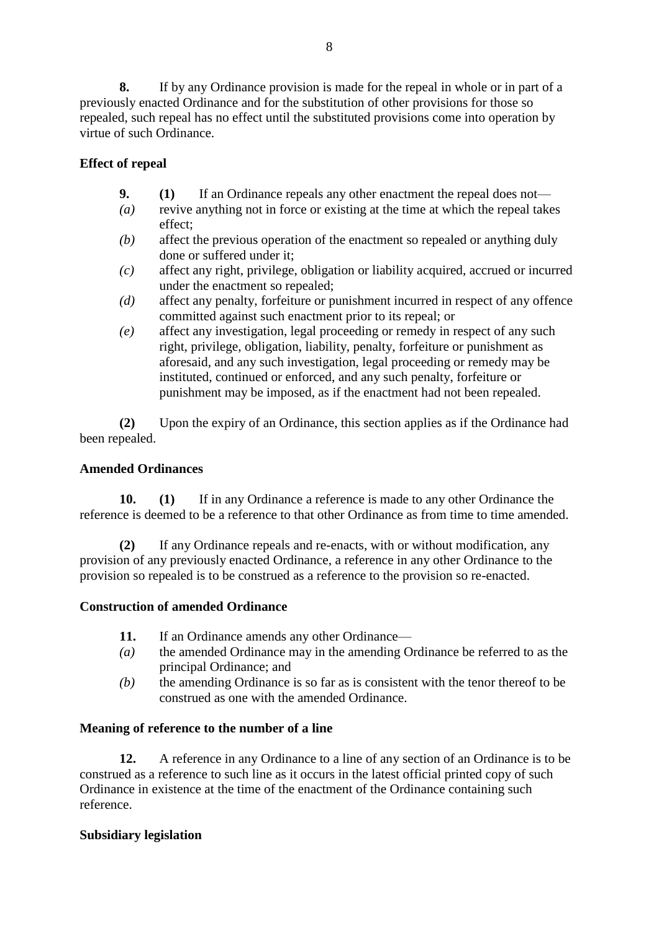**8.** If by any Ordinance provision is made for the repeal in whole or in part of a previously enacted Ordinance and for the substitution of other provisions for those so

# repealed, such repeal has no effect until the substituted provisions come into operation by virtue of such Ordinance.

# **Effect of repeal**

- **9. (1)** If an Ordinance repeals any other enactment the repeal does not—
- *(a)* revive anything not in force or existing at the time at which the repeal takes effect;
- *(b)* affect the previous operation of the enactment so repealed or anything duly done or suffered under it;
- *(c)* affect any right, privilege, obligation or liability acquired, accrued or incurred under the enactment so repealed;
- *(d)* affect any penalty, forfeiture or punishment incurred in respect of any offence committed against such enactment prior to its repeal; or
- *(e)* affect any investigation, legal proceeding or remedy in respect of any such right, privilege, obligation, liability, penalty, forfeiture or punishment as aforesaid, and any such investigation, legal proceeding or remedy may be instituted, continued or enforced, and any such penalty, forfeiture or punishment may be imposed, as if the enactment had not been repealed.

**(2)** Upon the expiry of an Ordinance, this section applies as if the Ordinance had been repealed.

# **Amended Ordinances**

**10. (1)** If in any Ordinance a reference is made to any other Ordinance the reference is deemed to be a reference to that other Ordinance as from time to time amended.

**(2)** If any Ordinance repeals and re-enacts, with or without modification, any provision of any previously enacted Ordinance, a reference in any other Ordinance to the provision so repealed is to be construed as a reference to the provision so re-enacted.

# **Construction of amended Ordinance**

- 11. If an Ordinance amends any other Ordinance—
- *(a)* the amended Ordinance may in the amending Ordinance be referred to as the principal Ordinance; and
- *(b)* the amending Ordinance is so far as is consistent with the tenor thereof to be construed as one with the amended Ordinance.

# **Meaning of reference to the number of a line**

**12.** A reference in any Ordinance to a line of any section of an Ordinance is to be construed as a reference to such line as it occurs in the latest official printed copy of such Ordinance in existence at the time of the enactment of the Ordinance containing such reference.

# **Subsidiary legislation**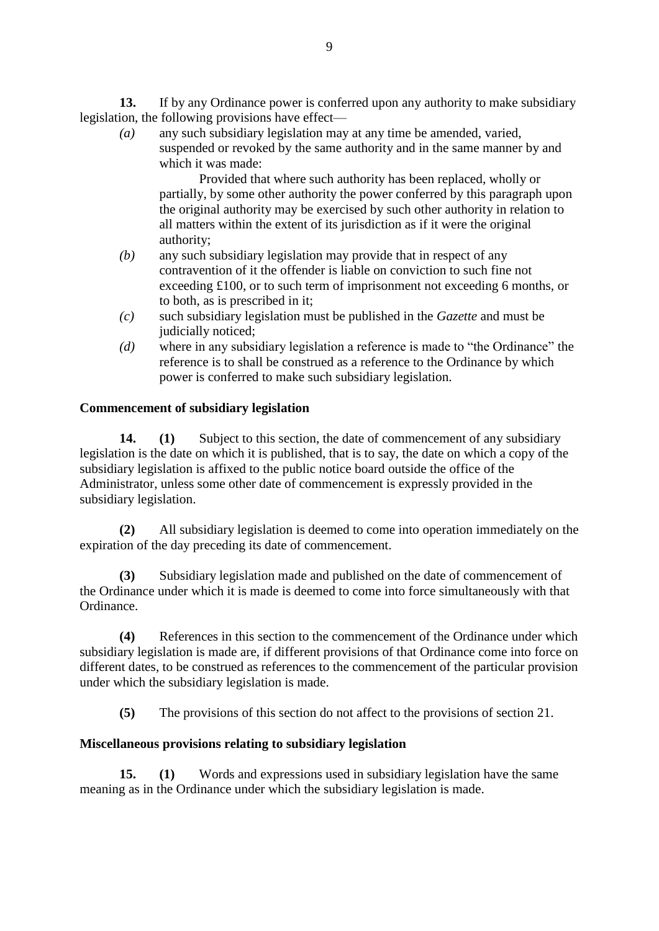**13.** If by any Ordinance power is conferred upon any authority to make subsidiary legislation, the following provisions have effect—

*(a)* any such subsidiary legislation may at any time be amended, varied, suspended or revoked by the same authority and in the same manner by and which it was made:

Provided that where such authority has been replaced, wholly or partially, by some other authority the power conferred by this paragraph upon the original authority may be exercised by such other authority in relation to all matters within the extent of its jurisdiction as if it were the original authority;

- *(b)* any such subsidiary legislation may provide that in respect of any contravention of it the offender is liable on conviction to such fine not exceeding £100, or to such term of imprisonment not exceeding 6 months, or to both, as is prescribed in it;
- *(c)* such subsidiary legislation must be published in the *Gazette* and must be judicially noticed;
- *(d)* where in any subsidiary legislation a reference is made to "the Ordinance" the reference is to shall be construed as a reference to the Ordinance by which power is conferred to make such subsidiary legislation.

# **Commencement of subsidiary legislation**

**14. (1)** Subject to this section, the date of commencement of any subsidiary legislation is the date on which it is published, that is to say, the date on which a copy of the subsidiary legislation is affixed to the public notice board outside the office of the Administrator, unless some other date of commencement is expressly provided in the subsidiary legislation.

**(2)** All subsidiary legislation is deemed to come into operation immediately on the expiration of the day preceding its date of commencement.

**(3)** Subsidiary legislation made and published on the date of commencement of the Ordinance under which it is made is deemed to come into force simultaneously with that Ordinance.

**(4)** References in this section to the commencement of the Ordinance under which subsidiary legislation is made are, if different provisions of that Ordinance come into force on different dates, to be construed as references to the commencement of the particular provision under which the subsidiary legislation is made.

**(5)** The provisions of this section do not affect to the provisions of section 21.

#### **Miscellaneous provisions relating to subsidiary legislation**

**15. (1)** Words and expressions used in subsidiary legislation have the same meaning as in the Ordinance under which the subsidiary legislation is made.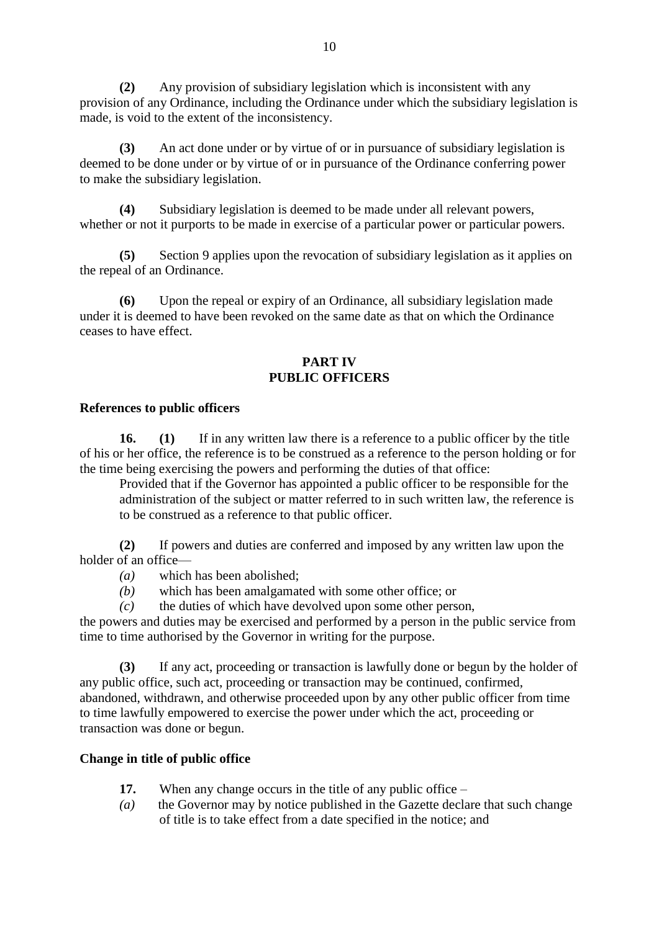**(2)** Any provision of subsidiary legislation which is inconsistent with any provision of any Ordinance, including the Ordinance under which the subsidiary legislation is made, is void to the extent of the inconsistency.

**(3)** An act done under or by virtue of or in pursuance of subsidiary legislation is deemed to be done under or by virtue of or in pursuance of the Ordinance conferring power to make the subsidiary legislation.

**(4)** Subsidiary legislation is deemed to be made under all relevant powers, whether or not it purports to be made in exercise of a particular power or particular powers.

**(5)** Section 9 applies upon the revocation of subsidiary legislation as it applies on the repeal of an Ordinance.

**(6)** Upon the repeal or expiry of an Ordinance, all subsidiary legislation made under it is deemed to have been revoked on the same date as that on which the Ordinance ceases to have effect.

#### **PART IV PUBLIC OFFICERS**

#### **References to public officers**

**16. (1)** If in any written law there is a reference to a public officer by the title of his or her office, the reference is to be construed as a reference to the person holding or for the time being exercising the powers and performing the duties of that office:

Provided that if the Governor has appointed a public officer to be responsible for the administration of the subject or matter referred to in such written law, the reference is to be construed as a reference to that public officer.

**(2)** If powers and duties are conferred and imposed by any written law upon the holder of an office—

- *(a)* which has been abolished;
- *(b)* which has been amalgamated with some other office; or

*(c)* the duties of which have devolved upon some other person,

the powers and duties may be exercised and performed by a person in the public service from time to time authorised by the Governor in writing for the purpose.

**(3)** If any act, proceeding or transaction is lawfully done or begun by the holder of any public office, such act, proceeding or transaction may be continued, confirmed, abandoned, withdrawn, and otherwise proceeded upon by any other public officer from time to time lawfully empowered to exercise the power under which the act, proceeding or transaction was done or begun.

# **Change in title of public office**

- **17.** When any change occurs in the title of any public office –
- *(a)* the Governor may by notice published in the Gazette declare that such change of title is to take effect from a date specified in the notice; and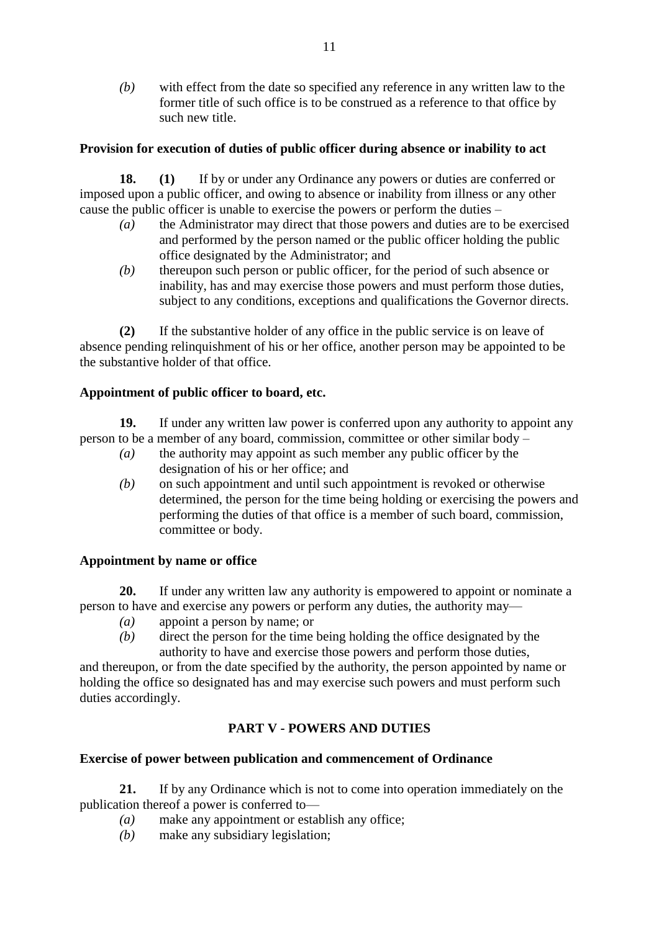*(b)* with effect from the date so specified any reference in any written law to the former title of such office is to be construed as a reference to that office by such new title.

# **Provision for execution of duties of public officer during absence or inability to act**

**18. (1)** If by or under any Ordinance any powers or duties are conferred or imposed upon a public officer, and owing to absence or inability from illness or any other cause the public officer is unable to exercise the powers or perform the duties –

- *(a)* the Administrator may direct that those powers and duties are to be exercised and performed by the person named or the public officer holding the public office designated by the Administrator; and
- *(b)* thereupon such person or public officer, for the period of such absence or inability, has and may exercise those powers and must perform those duties, subject to any conditions, exceptions and qualifications the Governor directs.

**(2)** If the substantive holder of any office in the public service is on leave of absence pending relinquishment of his or her office, another person may be appointed to be the substantive holder of that office.

#### **Appointment of public officer to board, etc.**

**19.** If under any written law power is conferred upon any authority to appoint any person to be a member of any board, commission, committee or other similar body –

- *(a)* the authority may appoint as such member any public officer by the designation of his or her office; and
- *(b)* on such appointment and until such appointment is revoked or otherwise determined, the person for the time being holding or exercising the powers and performing the duties of that office is a member of such board, commission, committee or body.

#### **Appointment by name or office**

**20.** If under any written law any authority is empowered to appoint or nominate a person to have and exercise any powers or perform any duties, the authority may—

- *(a)* appoint a person by name; or
- *(b)* direct the person for the time being holding the office designated by the authority to have and exercise those powers and perform those duties,

and thereupon, or from the date specified by the authority, the person appointed by name or holding the office so designated has and may exercise such powers and must perform such duties accordingly.

# **PART V - POWERS AND DUTIES**

#### **Exercise of power between publication and commencement of Ordinance**

**21.** If by any Ordinance which is not to come into operation immediately on the publication thereof a power is conferred to—

- *(a)* make any appointment or establish any office;
- *(b)* make any subsidiary legislation;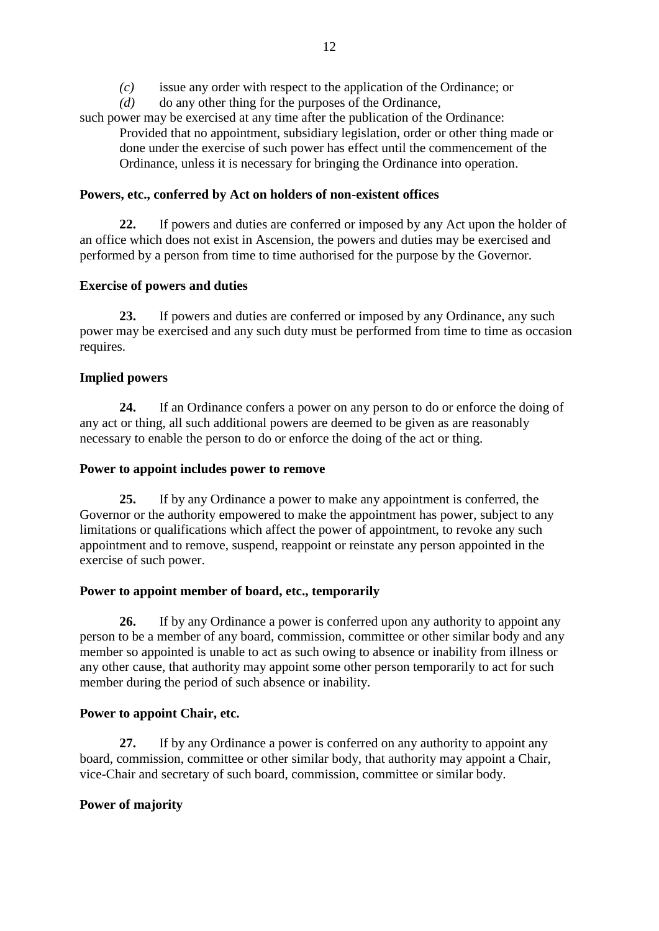*(c)* issue any order with respect to the application of the Ordinance; or

*(d)* do any other thing for the purposes of the Ordinance,

such power may be exercised at any time after the publication of the Ordinance: Provided that no appointment, subsidiary legislation, order or other thing made or done under the exercise of such power has effect until the commencement of the

Ordinance, unless it is necessary for bringing the Ordinance into operation.

# **Powers, etc., conferred by Act on holders of non-existent offices**

**22.** If powers and duties are conferred or imposed by any Act upon the holder of an office which does not exist in Ascension, the powers and duties may be exercised and performed by a person from time to time authorised for the purpose by the Governor.

# **Exercise of powers and duties**

**23.** If powers and duties are conferred or imposed by any Ordinance, any such power may be exercised and any such duty must be performed from time to time as occasion requires.

# **Implied powers**

**24.** If an Ordinance confers a power on any person to do or enforce the doing of any act or thing, all such additional powers are deemed to be given as are reasonably necessary to enable the person to do or enforce the doing of the act or thing.

# **Power to appoint includes power to remove**

**25.** If by any Ordinance a power to make any appointment is conferred, the Governor or the authority empowered to make the appointment has power, subject to any limitations or qualifications which affect the power of appointment, to revoke any such appointment and to remove, suspend, reappoint or reinstate any person appointed in the exercise of such power.

# **Power to appoint member of board, etc., temporarily**

**26.** If by any Ordinance a power is conferred upon any authority to appoint any person to be a member of any board, commission, committee or other similar body and any member so appointed is unable to act as such owing to absence or inability from illness or any other cause, that authority may appoint some other person temporarily to act for such member during the period of such absence or inability.

# **Power to appoint Chair, etc.**

**27.** If by any Ordinance a power is conferred on any authority to appoint any board, commission, committee or other similar body, that authority may appoint a Chair, vice-Chair and secretary of such board, commission, committee or similar body.

# **Power of majority**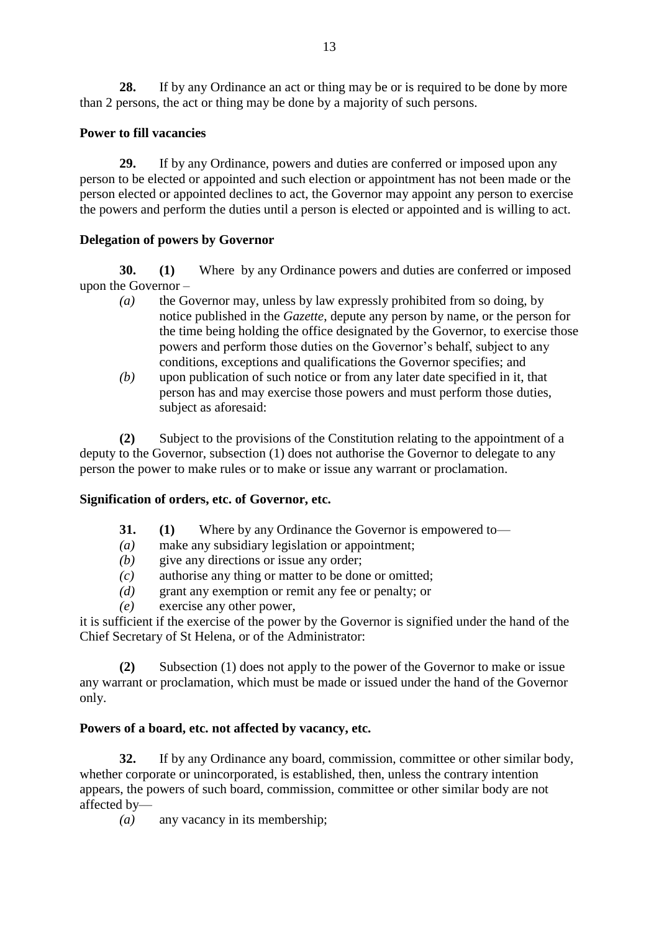**28.** If by any Ordinance an act or thing may be or is required to be done by more than 2 persons, the act or thing may be done by a majority of such persons.

# **Power to fill vacancies**

**29.** If by any Ordinance, powers and duties are conferred or imposed upon any person to be elected or appointed and such election or appointment has not been made or the person elected or appointed declines to act, the Governor may appoint any person to exercise the powers and perform the duties until a person is elected or appointed and is willing to act.

# **Delegation of powers by Governor**

**30. (1)** Where by any Ordinance powers and duties are conferred or imposed upon the Governor –

- *(a)* the Governor may, unless by law expressly prohibited from so doing, by notice published in the *Gazette*, depute any person by name, or the person for the time being holding the office designated by the Governor, to exercise those powers and perform those duties on the Governor's behalf, subject to any conditions, exceptions and qualifications the Governor specifies; and
- *(b)* upon publication of such notice or from any later date specified in it, that person has and may exercise those powers and must perform those duties, subject as aforesaid:

**(2)** Subject to the provisions of the Constitution relating to the appointment of a deputy to the Governor, subsection (1) does not authorise the Governor to delegate to any person the power to make rules or to make or issue any warrant or proclamation.

# **Signification of orders, etc. of Governor, etc.**

- **31. (1)** Where by any Ordinance the Governor is empowered to—
- *(a)* make any subsidiary legislation or appointment;
- *(b)* give any directions or issue any order;
- *(c)* authorise any thing or matter to be done or omitted;
- *(d)* grant any exemption or remit any fee or penalty; or
- *(e)* exercise any other power,

it is sufficient if the exercise of the power by the Governor is signified under the hand of the Chief Secretary of St Helena, or of the Administrator:

**(2)** Subsection (1) does not apply to the power of the Governor to make or issue any warrant or proclamation, which must be made or issued under the hand of the Governor only.

# **Powers of a board, etc. not affected by vacancy, etc.**

**32.** If by any Ordinance any board, commission, committee or other similar body, whether corporate or unincorporated, is established, then, unless the contrary intention appears, the powers of such board, commission, committee or other similar body are not affected by—

*(a)* any vacancy in its membership;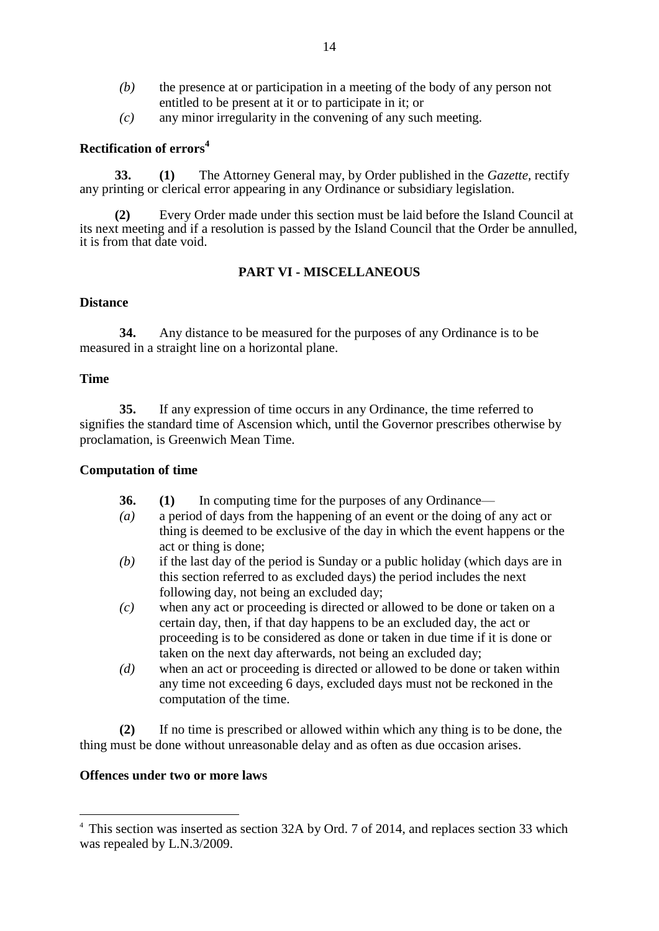- *(b)* the presence at or participation in a meeting of the body of any person not entitled to be present at it or to participate in it; or
- *(c)* any minor irregularity in the convening of any such meeting.

# **Rectification of errors<sup>4</sup>**

**33. (1)** The Attorney General may, by Order published in the *Gazette,* rectify any printing or clerical error appearing in any Ordinance or subsidiary legislation.

**(2)** Every Order made under this section must be laid before the Island Council at its next meeting and if a resolution is passed by the Island Council that the Order be annulled, it is from that date void.

#### **PART VI - MISCELLANEOUS**

#### **Distance**

**34.** Any distance to be measured for the purposes of any Ordinance is to be measured in a straight line on a horizontal plane.

#### **Time**

1

**35.** If any expression of time occurs in any Ordinance, the time referred to signifies the standard time of Ascension which, until the Governor prescribes otherwise by proclamation, is Greenwich Mean Time.

#### **Computation of time**

- **36. (1)** In computing time for the purposes of any Ordinance—
- *(a)* a period of days from the happening of an event or the doing of any act or thing is deemed to be exclusive of the day in which the event happens or the act or thing is done;
- *(b)* if the last day of the period is Sunday or a public holiday (which days are in this section referred to as excluded days) the period includes the next following day, not being an excluded day;
- *(c)* when any act or proceeding is directed or allowed to be done or taken on a certain day, then, if that day happens to be an excluded day, the act or proceeding is to be considered as done or taken in due time if it is done or taken on the next day afterwards, not being an excluded day;
- *(d)* when an act or proceeding is directed or allowed to be done or taken within any time not exceeding 6 days, excluded days must not be reckoned in the computation of the time.

**(2)** If no time is prescribed or allowed within which any thing is to be done, the thing must be done without unreasonable delay and as often as due occasion arises.

#### **Offences under two or more laws**

<sup>&</sup>lt;sup>4</sup> This section was inserted as section 32A by Ord. 7 of 2014, and replaces section 33 which was repealed by L.N.3/2009.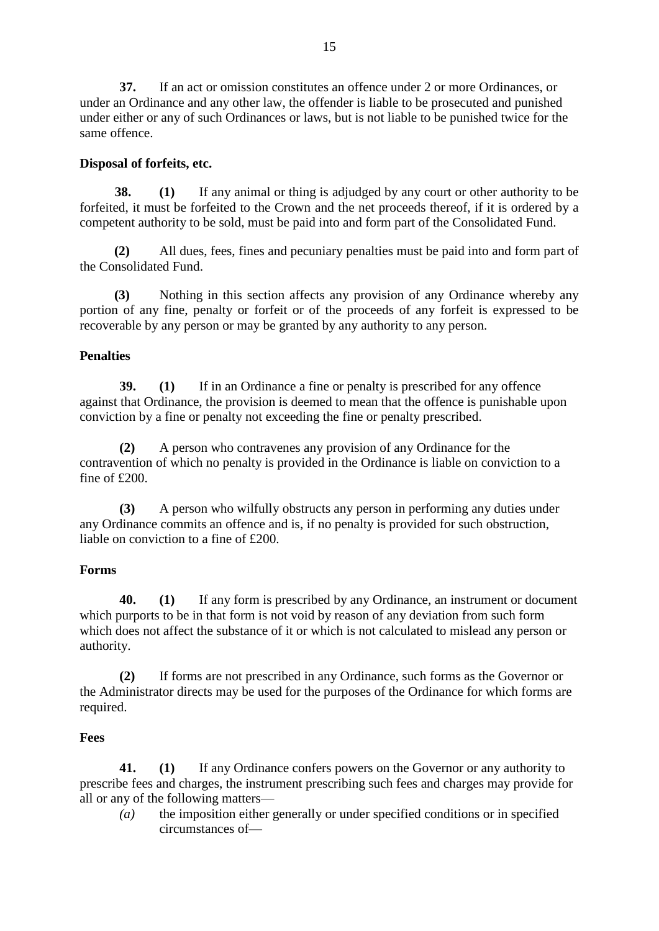**37.** If an act or omission constitutes an offence under 2 or more Ordinances, or under an Ordinance and any other law, the offender is liable to be prosecuted and punished under either or any of such Ordinances or laws, but is not liable to be punished twice for the same offence.

# **Disposal of forfeits, etc.**

**38. (1)** If any animal or thing is adjudged by any court or other authority to be forfeited, it must be forfeited to the Crown and the net proceeds thereof, if it is ordered by a competent authority to be sold, must be paid into and form part of the Consolidated Fund.

**(2)** All dues, fees, fines and pecuniary penalties must be paid into and form part of the Consolidated Fund.

**(3)** Nothing in this section affects any provision of any Ordinance whereby any portion of any fine, penalty or forfeit or of the proceeds of any forfeit is expressed to be recoverable by any person or may be granted by any authority to any person.

# **Penalties**

**39. (1)** If in an Ordinance a fine or penalty is prescribed for any offence against that Ordinance, the provision is deemed to mean that the offence is punishable upon conviction by a fine or penalty not exceeding the fine or penalty prescribed.

**(2)** A person who contravenes any provision of any Ordinance for the contravention of which no penalty is provided in the Ordinance is liable on conviction to a fine of £200.

**(3)** A person who wilfully obstructs any person in performing any duties under any Ordinance commits an offence and is, if no penalty is provided for such obstruction, liable on conviction to a fine of £200.

# **Forms**

 **40. (1)** If any form is prescribed by any Ordinance, an instrument or document which purports to be in that form is not void by reason of any deviation from such form which does not affect the substance of it or which is not calculated to mislead any person or authority.

**(2)** If forms are not prescribed in any Ordinance, such forms as the Governor or the Administrator directs may be used for the purposes of the Ordinance for which forms are required.

# **Fees**

**41. (1)** If any Ordinance confers powers on the Governor or any authority to prescribe fees and charges, the instrument prescribing such fees and charges may provide for all or any of the following matters—

*(a)* the imposition either generally or under specified conditions or in specified circumstances of—